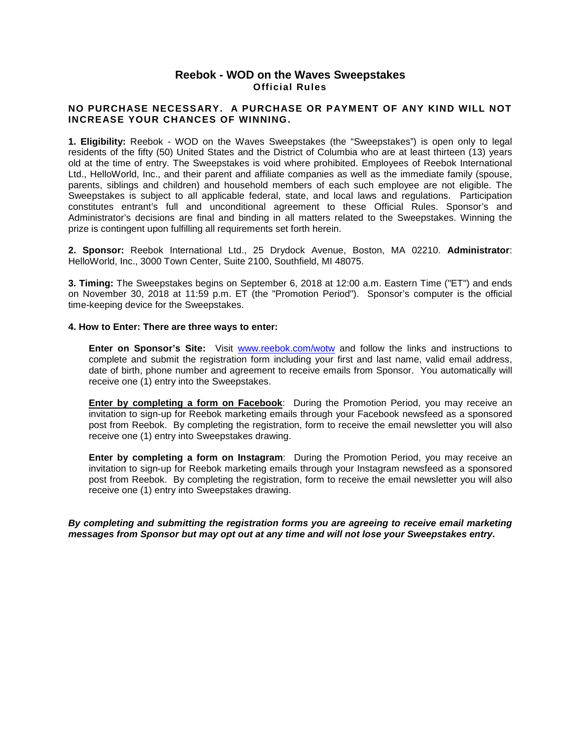## **Reebok - WOD on the Waves Sweepstakes Official Rules**

## **NO PURCHASE NECESSARY. A PURCHASE OR PAYMENT OF ANY KIND WILL NOT INCREASE YOUR CHANCES OF WINNING.**

**1. Eligibility:** Reebok - WOD on the Waves Sweepstakes (the "Sweepstakes") is open only to legal residents of the fifty (50) United States and the District of Columbia who are at least thirteen (13) years old at the time of entry. The Sweepstakes is void where prohibited. Employees of Reebok International Ltd., HelloWorld, Inc., and their parent and affiliate companies as well as the immediate family (spouse, parents, siblings and children) and household members of each such employee are not eligible. The Sweepstakes is subject to all applicable federal, state, and local laws and regulations. Participation constitutes entrant's full and unconditional agreement to these Official Rules. Sponsor's and Administrator's decisions are final and binding in all matters related to the Sweepstakes. Winning the prize is contingent upon fulfilling all requirements set forth herein.

**2. Sponsor:** Reebok International Ltd., 25 Drydock Avenue, Boston, MA 02210. **Administrator**: HelloWorld, Inc., 3000 Town Center, Suite 2100, Southfield, MI 48075.

**3. Timing:** The Sweepstakes begins on September 6, 2018 at 12:00 a.m. Eastern Time ("ET") and ends on November 30, 2018 at 11:59 p.m. ET (the "Promotion Period"). Sponsor's computer is the official time-keeping device for the Sweepstakes.

## **4. How to Enter: There are three ways to enter:**

**Enter on Sponsor's Site:** Visit www.reebok.com/wotw and follow the links and instructions to complete and submit the registration form including your first and last name, valid email address, date of birth, phone number and agreement to receive emails from Sponsor. You automatically will receive one (1) entry into the Sweepstakes.

**Enter by completing a form on Facebook**: During the Promotion Period, you may receive an invitation to sign-up for Reebok marketing emails through your Facebook newsfeed as a sponsored post from Reebok. By completing the registration, form to receive the email newsletter you will also receive one (1) entry into Sweepstakes drawing.

**Enter by completing a form on Instagram**: During the Promotion Period, you may receive an invitation to sign-up for Reebok marketing emails through your Instagram newsfeed as a sponsored post from Reebok. By completing the registration, form to receive the email newsletter you will also receive one (1) entry into Sweepstakes drawing.

**By completing and submitting the registration forms you are agreeing to receive email marketing messages from Sponsor but may opt out at any time and will not lose your Sweepstakes entry.**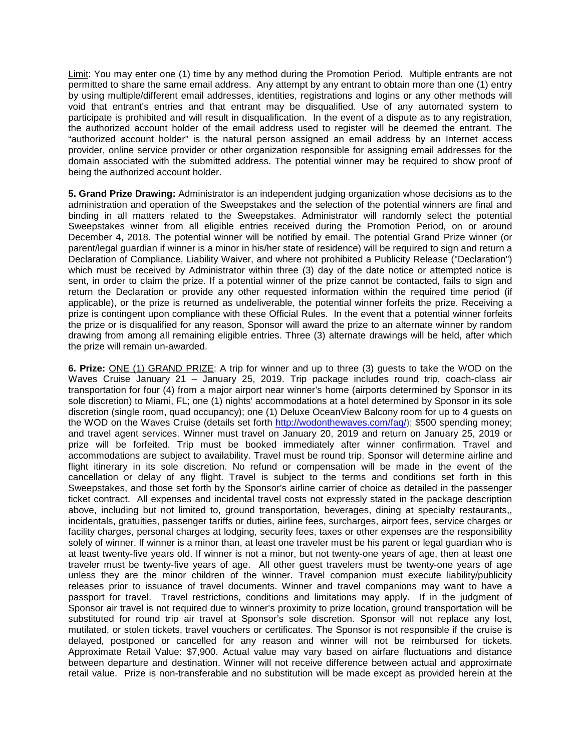Limit: You may enter one (1) time by any method during the Promotion Period. Multiple entrants are not permitted to share the same email address. Any attempt by any entrant to obtain more than one (1) entry by using multiple/different email addresses, identities, registrations and logins or any other methods will void that entrant's entries and that entrant may be disqualified. Use of any automated system to participate is prohibited and will result in disqualification. In the event of a dispute as to any registration, the authorized account holder of the email address used to register will be deemed the entrant. The "authorized account holder" is the natural person assigned an email address by an Internet access provider, online service provider or other organization responsible for assigning email addresses for the domain associated with the submitted address. The potential winner may be required to show proof of being the authorized account holder.

**5. Grand Prize Drawing:** Administrator is an independent judging organization whose decisions as to the administration and operation of the Sweepstakes and the selection of the potential winners are final and binding in all matters related to the Sweepstakes. Administrator will randomly select the potential Sweepstakes winner from all eligible entries received during the Promotion Period, on or around December 4, 2018. The potential winner will be notified by email. The potential Grand Prize winner (or parent/legal guardian if winner is a minor in his/her state of residence) will be required to sign and return a Declaration of Compliance, Liability Waiver, and where not prohibited a Publicity Release ("Declaration") which must be received by Administrator within three (3) day of the date notice or attempted notice is sent, in order to claim the prize. If a potential winner of the prize cannot be contacted, fails to sign and return the Declaration or provide any other requested information within the required time period (if applicable), or the prize is returned as undeliverable, the potential winner forfeits the prize. Receiving a prize is contingent upon compliance with these Official Rules. In the event that a potential winner forfeits the prize or is disqualified for any reason, Sponsor will award the prize to an alternate winner by random drawing from among all remaining eligible entries. Three (3) alternate drawings will be held, after which the prize will remain un-awarded.

**6. Prize:** ONE (1) GRAND PRIZE: A trip for winner and up to three (3) guests to take the WOD on the Waves Cruise January 21 – January 25, 2019. Trip package includes round trip, coach-class air transportation for four (4) from a major airport near winner's home (airports determined by Sponsor in its sole discretion) to Miami, FL; one (1) nights' accommodations at a hotel determined by Sponsor in its sole discretion (single room, quad occupancy); one (1) Deluxe OceanView Balcony room for up to 4 guests on the WOD on the Waves Cruise (details set forth http://wodonthewaves.com/faq/); \$500 spending money; and travel agent services. Winner must travel on January 20, 2019 and return on January 25, 2019 or prize will be forfeited. Trip must be booked immediately after winner confirmation. Travel and accommodations are subject to availability. Travel must be round trip. Sponsor will determine airline and flight itinerary in its sole discretion. No refund or compensation will be made in the event of the cancellation or delay of any flight. Travel is subject to the terms and conditions set forth in this Sweepstakes, and those set forth by the Sponsor's airline carrier of choice as detailed in the passenger ticket contract. All expenses and incidental travel costs not expressly stated in the package description above, including but not limited to, ground transportation, beverages, dining at specialty restaurants,, incidentals, gratuities, passenger tariffs or duties, airline fees, surcharges, airport fees, service charges or facility charges, personal charges at lodging, security fees, taxes or other expenses are the responsibility solely of winner. If winner is a minor than, at least one traveler must be his parent or legal guardian who is at least twenty-five years old. If winner is not a minor, but not twenty-one years of age, then at least one traveler must be twenty-five years of age. All other guest travelers must be twenty-one years of age unless they are the minor children of the winner. Travel companion must execute liability/publicity releases prior to issuance of travel documents. Winner and travel companions may want to have a passport for travel. Travel restrictions, conditions and limitations may apply.If in the judgment of Sponsor air travel is not required due to winner's proximity to prize location, ground transportation will be substituted for round trip air travel at Sponsor's sole discretion. Sponsor will not replace any lost, mutilated, or stolen tickets, travel vouchers or certificates. The Sponsor is not responsible if the cruise is delayed, postponed or cancelled for any reason and winner will not be reimbursed for tickets. Approximate Retail Value: \$7,900. Actual value may vary based on airfare fluctuations and distance between departure and destination. Winner will not receive difference between actual and approximate retail value. Prize is non-transferable and no substitution will be made except as provided herein at the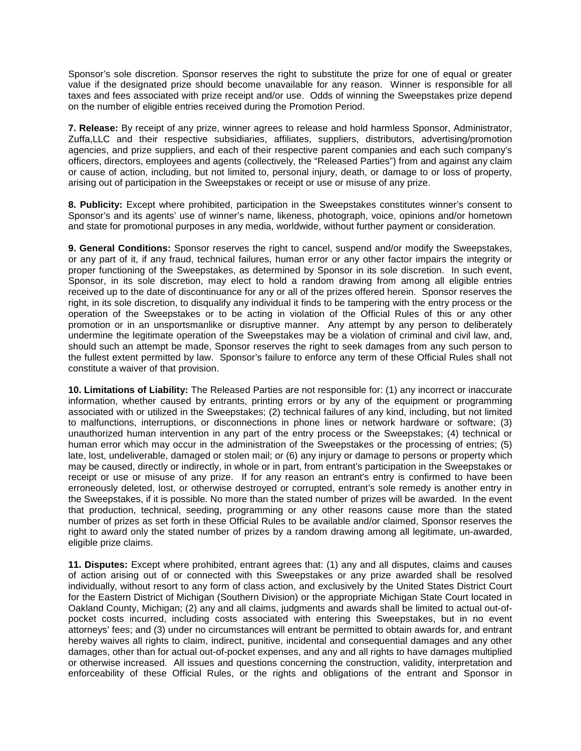Sponsor's sole discretion. Sponsor reserves the right to substitute the prize for one of equal or greater value if the designated prize should become unavailable for any reason. Winner is responsible for all taxes and fees associated with prize receipt and/or use. Odds of winning the Sweepstakes prize depend on the number of eligible entries received during the Promotion Period.

**7. Release:** By receipt of any prize, winner agrees to release and hold harmless Sponsor, Administrator, Zuffa,LLC and their respective subsidiaries, affiliates, suppliers, distributors, advertising/promotion agencies, and prize suppliers, and each of their respective parent companies and each such company's officers, directors, employees and agents (collectively, the "Released Parties") from and against any claim or cause of action, including, but not limited to, personal injury, death, or damage to or loss of property, arising out of participation in the Sweepstakes or receipt or use or misuse of any prize.

**8. Publicity:** Except where prohibited, participation in the Sweepstakes constitutes winner's consent to Sponsor's and its agents' use of winner's name, likeness, photograph, voice, opinions and/or hometown and state for promotional purposes in any media, worldwide, without further payment or consideration.

**9. General Conditions:** Sponsor reserves the right to cancel, suspend and/or modify the Sweepstakes, or any part of it, if any fraud, technical failures, human error or any other factor impairs the integrity or proper functioning of the Sweepstakes, as determined by Sponsor in its sole discretion. In such event, Sponsor, in its sole discretion, may elect to hold a random drawing from among all eligible entries received up to the date of discontinuance for any or all of the prizes offered herein. Sponsor reserves the right, in its sole discretion, to disqualify any individual it finds to be tampering with the entry process or the operation of the Sweepstakes or to be acting in violation of the Official Rules of this or any other promotion or in an unsportsmanlike or disruptive manner. Any attempt by any person to deliberately undermine the legitimate operation of the Sweepstakes may be a violation of criminal and civil law, and, should such an attempt be made, Sponsor reserves the right to seek damages from any such person to the fullest extent permitted by law. Sponsor's failure to enforce any term of these Official Rules shall not constitute a waiver of that provision.

**10. Limitations of Liability:** The Released Parties are not responsible for: (1) any incorrect or inaccurate information, whether caused by entrants, printing errors or by any of the equipment or programming associated with or utilized in the Sweepstakes; (2) technical failures of any kind, including, but not limited to malfunctions, interruptions, or disconnections in phone lines or network hardware or software; (3) unauthorized human intervention in any part of the entry process or the Sweepstakes; (4) technical or human error which may occur in the administration of the Sweepstakes or the processing of entries; (5) late, lost, undeliverable, damaged or stolen mail; or (6) any injury or damage to persons or property which may be caused, directly or indirectly, in whole or in part, from entrant's participation in the Sweepstakes or receipt or use or misuse of any prize. If for any reason an entrant's entry is confirmed to have been erroneously deleted, lost, or otherwise destroyed or corrupted, entrant's sole remedy is another entry in the Sweepstakes, if it is possible. No more than the stated number of prizes will be awarded. In the event that production, technical, seeding, programming or any other reasons cause more than the stated number of prizes as set forth in these Official Rules to be available and/or claimed, Sponsor reserves the right to award only the stated number of prizes by a random drawing among all legitimate, un-awarded, eligible prize claims.

**11. Disputes:** Except where prohibited, entrant agrees that: (1) any and all disputes, claims and causes of action arising out of or connected with this Sweepstakes or any prize awarded shall be resolved individually, without resort to any form of class action, and exclusively by the United States District Court for the Eastern District of Michigan (Southern Division) or the appropriate Michigan State Court located in Oakland County, Michigan; (2) any and all claims, judgments and awards shall be limited to actual out-ofpocket costs incurred, including costs associated with entering this Sweepstakes, but in no event attorneys' fees; and (3) under no circumstances will entrant be permitted to obtain awards for, and entrant hereby waives all rights to claim, indirect, punitive, incidental and consequential damages and any other damages, other than for actual out-of-pocket expenses, and any and all rights to have damages multiplied or otherwise increased. All issues and questions concerning the construction, validity, interpretation and enforceability of these Official Rules, or the rights and obligations of the entrant and Sponsor in